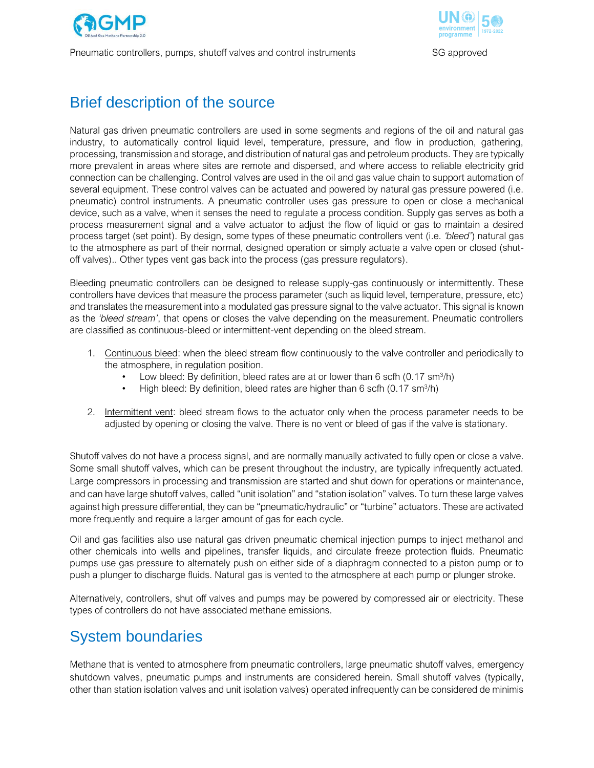

Pneumatic controllers, pumps, shutoff valves and control instruments SG approved



## Brief description of the source

Natural gas driven pneumatic controllers are used in some segments and regions of the oil and natural gas industry, to automatically control liquid level, temperature, pressure, and flow in production, gathering, processing, transmission and storage, and distribution of natural gas and petroleum products. They are typically more prevalent in areas where sites are remote and dispersed, and where access to reliable electricity grid connection can be challenging. Control valves are used in the oil and gas value chain to support automation of several equipment. These control valves can be actuated and powered by natural gas pressure powered (i.e. pneumatic) control instruments. A pneumatic controller uses gas pressure to open or close a mechanical device, such as a valve, when it senses the need to regulate a process condition. Supply gas serves as both a process measurement signal and a valve actuator to adjust the flow of liquid or gas to maintain a desired process target (set point). By design, some types of these pneumatic controllers vent (i.e. *'bleed'*) natural gas to the atmosphere as part of their normal, designed operation or simply actuate a valve open or closed (shutoff valves).. Other types vent gas back into the process (gas pressure regulators).

Bleeding pneumatic controllers can be designed to release supply-gas continuously or intermittently. These controllers have devices that measure the process parameter (such as liquid level, temperature, pressure, etc) and translates the measurement into a modulated gas pressure signal to the valve actuator. This signal is known as the *'bleed stream'*, that opens or closes the valve depending on the measurement. Pneumatic controllers are classified as continuous-bleed or intermittent-vent depending on the bleed stream.

- 1. Continuous bleed: when the bleed stream flow continuously to the valve controller and periodically to the atmosphere, in regulation position.
	- Low bleed: By definition, bleed rates are at or lower than 6 scfh  $(0.17 \text{ s} \text{m}^3/\text{h})$
	- High bleed: By definition, bleed rates are higher than 6 scfh (0.17 sm $^{3}/h$ )
- 2. Intermittent vent: bleed stream flows to the actuator only when the process parameter needs to be adjusted by opening or closing the valve. There is no vent or bleed of gas if the valve is stationary.

Shutoff valves do not have a process signal, and are normally manually activated to fully open or close a valve. Some small shutoff valves, which can be present throughout the industry, are typically infrequently actuated. Large compressors in processing and transmission are started and shut down for operations or maintenance, and can have large shutoff valves, called "unit isolation" and "station isolation" valves. To turn these large valves against high pressure differential, they can be "pneumatic/hydraulic" or "turbine" actuators. These are activated more frequently and require a larger amount of gas for each cycle.

Oil and gas facilities also use natural gas driven pneumatic chemical injection pumps to inject methanol and other chemicals into wells and pipelines, transfer liquids, and circulate freeze protection fluids. Pneumatic pumps use gas pressure to alternately push on either side of a diaphragm connected to a piston pump or to push a plunger to discharge fluids. Natural gas is vented to the atmosphere at each pump or plunger stroke.

Alternatively, controllers, shut off valves and pumps may be powered by compressed air or electricity. These types of controllers do not have associated methane emissions.

## System boundaries

Methane that is vented to atmosphere from pneumatic controllers, large pneumatic shutoff valves, emergency shutdown valves, pneumatic pumps and instruments are considered herein. Small shutoff valves (typically, other than station isolation valves and unit isolation valves) operated infrequently can be considered de minimis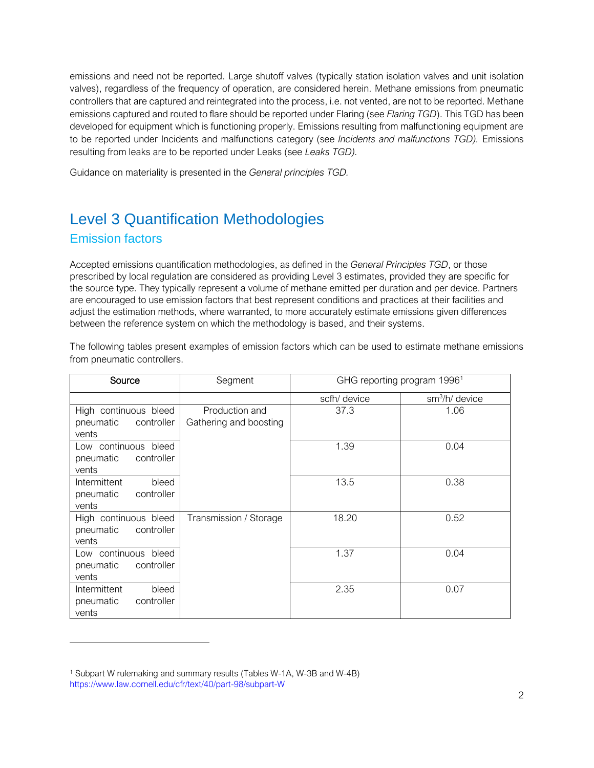emissions and need not be reported. Large shutoff valves (typically station isolation valves and unit isolation valves), regardless of the frequency of operation, are considered herein. Methane emissions from pneumatic controllers that are captured and reintegrated into the process, i.e. not vented, are not to be reported. Methane emissions captured and routed to flare should be reported under Flaring (see *Flaring TGD*). This TGD has been developed for equipment which is functioning properly. Emissions resulting from malfunctioning equipment are to be reported under Incidents and malfunctions category (see *Incidents and malfunctions TGD).* Emissions resulting from leaks are to be reported under Leaks (see *Leaks TGD).*

Guidance on materiality is presented in the *General principles TGD.*

# Level 3 Quantification Methodologies Emission factors

Accepted emissions quantification methodologies, as defined in the *General Principles TGD*, or those prescribed by local regulation are considered as providing Level 3 estimates, provided they are specific for the source type. They typically represent a volume of methane emitted per duration and per device. Partners are encouraged to use emission factors that best represent conditions and practices at their facilities and adjust the estimation methods, where warranted, to more accurately estimate emissions given differences between the reference system on which the methodology is based, and their systems.

The following tables present examples of emission factors which can be used to estimate methane emissions from pneumatic controllers.

| Source                                                    | Segment                                  | GHG reporting program 1996 <sup>1</sup> |                            |
|-----------------------------------------------------------|------------------------------------------|-----------------------------------------|----------------------------|
|                                                           |                                          | scfh/ device                            | sm <sup>3</sup> /h/ device |
| High continuous bleed<br>pneumatic<br>controller<br>vents | Production and<br>Gathering and boosting | 37.3                                    | 1.06                       |
| Low continuous bleed<br>controller<br>pneumatic<br>vents  |                                          | 1.39                                    | 0.04                       |
| Intermittent<br>bleed<br>pneumatic<br>controller<br>vents |                                          | 13.5                                    | 0.38                       |
| High continuous bleed<br>controller<br>pneumatic<br>vents | Transmission / Storage                   | 18.20                                   | 0.52                       |
| Low continuous bleed<br>controller<br>pneumatic<br>vents  |                                          | 1.37                                    | 0.04                       |
| Intermittent<br>bleed<br>controller<br>pneumatic<br>vents |                                          | 2.35                                    | 0.07                       |

<sup>1</sup> Subpart W rulemaking and summary results (Tables W-1A, W-3B and W-4B) https://www.law.cornell.edu/cfr/text/40/part-98/subpart-W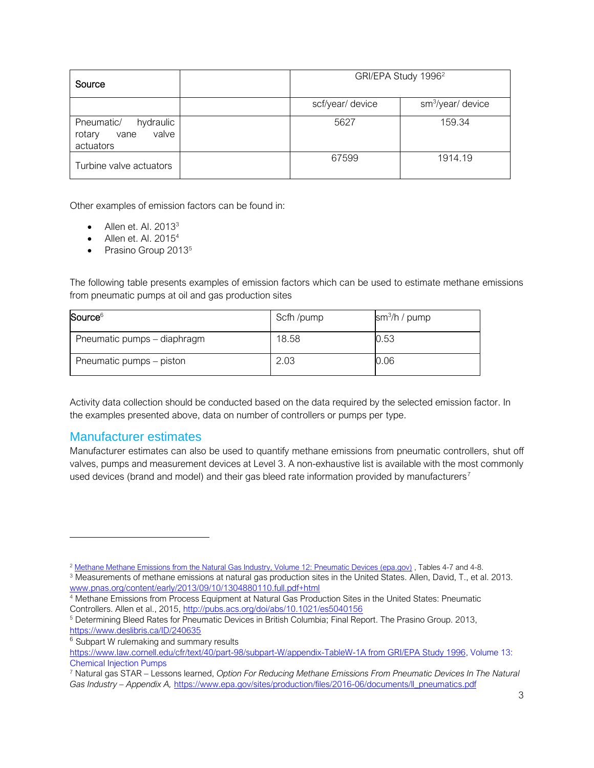| Source                                                          |                  | GRI/EPA Study 1996 <sup>2</sup> |  |
|-----------------------------------------------------------------|------------------|---------------------------------|--|
|                                                                 | scf/year/ device | sm <sup>3</sup> /year/ device   |  |
| Pneumatic/<br>hydraulic<br>valve<br>vane<br>rotary<br>actuators | 5627             | 159.34                          |  |
| Turbine valve actuators                                         | 67599            | 1914.19                         |  |

Other examples of emission factors can be found in:

- Allen et. Al.  $2013<sup>3</sup>$
- Allen et. Al. 2015<sup>4</sup>
- Prasino Group 2013<sup>5</sup>

The following table presents examples of emission factors which can be used to estimate methane emissions from pneumatic pumps at oil and gas production sites

| Source <sup>6</sup>         | Scfh/pump | $\frac{\text{sm}^3}{\text{h}}$ / pump |
|-----------------------------|-----------|---------------------------------------|
| Pneumatic pumps – diaphragm | 18.58     | 0.53                                  |
| Pneumatic pumps – piston    | 2.03      | 0.06                                  |

Activity data collection should be conducted based on the data required by the selected emission factor. In the examples presented above, data on number of controllers or pumps per type.

#### Manufacturer estimates

Manufacturer estimates can also be used to quantify methane emissions from pneumatic controllers, shut off valves, pumps and measurement devices at Level 3. A non-exhaustive list is available with the most commonly used devices (brand and model) and their gas bleed rate information provided by manufacturers<sup>7</sup>

<sup>&</sup>lt;sup>2</sup> [Methane Methane Emissions from the Natural Gas Industry, Volume 12: Pneumatic Devices \(epa.gov\)](https://www.epa.gov/sites/default/files/2016-08/documents/12_pneumatic.pdf), Tables 4-7 and 4-8.

<sup>3</sup> Measurements of methane emissions at natural gas production sites in the United States. Allen, David, T., et al. 2013. [www.pnas.org/content/early/2013/09/10/1304880110.full.pdf+html](http://www.pnas.org/content/early/2013/09/10/1304880110.full.pdf+html)

<sup>&</sup>lt;sup>4</sup> Methane Emissions from Process Equipment at Natural Gas Production Sites in the United States: Pneumatic Controllers. Allen et al., 2015,<http://pubs.acs.org/doi/abs/10.1021/es5040156>

<sup>5</sup> Determining Bleed Rates for Pneumatic Devices in British Columbia; Final Report. The Prasino Group. 2013, <https://www.deslibris.ca/ID/240635>

<sup>&</sup>lt;sup>6</sup> Subpart W rulemaking and summary results

[https://www.law.cornell.edu/cfr/text/40/part-98/subpart-W/appendix-TableW-1A](https://www.law.cornell.edu/cfr/text/40/part-98/subpart-W/appendix-TableW-1A%20from%20GRI/EPA%20Study%201996) from GRI/EPA Study 1996, Volume 13: Chemical Injection Pumps

<sup>7</sup> Natural gas STAR – Lessons learned, *Option For Reducing Methane Emissions From Pneumatic Devices In The Natural Gas Industry – Appendix A,* [https://www.epa.gov/sites/production/files/2016-06/documents/ll\\_pneumatics.pdf](https://www.epa.gov/sites/production/files/2016-06/documents/ll_pneumatics.pdf)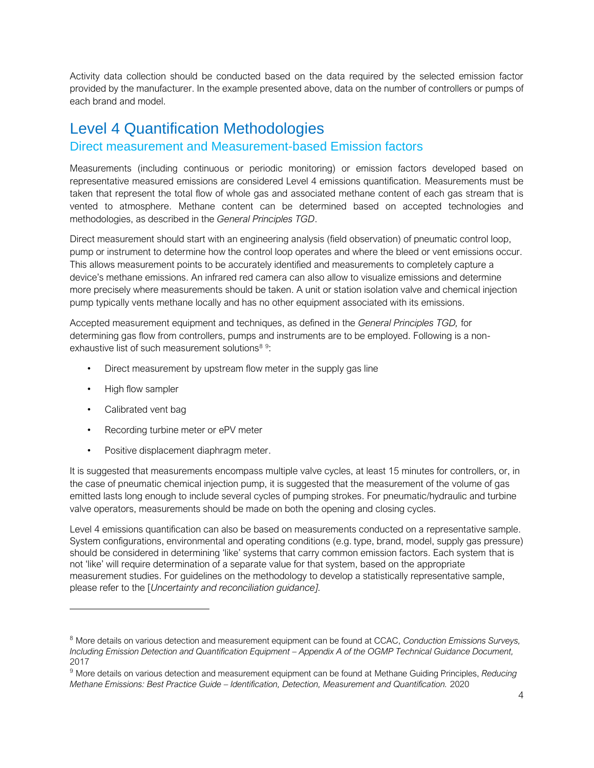Activity data collection should be conducted based on the data required by the selected emission factor provided by the manufacturer. In the example presented above, data on the number of controllers or pumps of each brand and model.

### Level 4 Quantification Methodologies

### Direct measurement and Measurement-based Emission factors

Measurements (including continuous or periodic monitoring) or emission factors developed based on representative measured emissions are considered Level 4 emissions quantification. Measurements must be taken that represent the total flow of whole gas and associated methane content of each gas stream that is vented to atmosphere. Methane content can be determined based on accepted technologies and methodologies, as described in the *General Principles TGD*.

Direct measurement should start with an engineering analysis (field observation) of pneumatic control loop, pump or instrument to determine how the control loop operates and where the bleed or vent emissions occur. This allows measurement points to be accurately identified and measurements to completely capture a device's methane emissions. An infrared red camera can also allow to visualize emissions and determine more precisely where measurements should be taken. A unit or station isolation valve and chemical injection pump typically vents methane locally and has no other equipment associated with its emissions.

Accepted measurement equipment and techniques, as defined in the *General Principles TGD,* for determining gas flow from controllers, pumps and instruments are to be employed. Following is a nonexhaustive list of such measurement solutions<sup>89</sup>:

- Direct measurement by upstream flow meter in the supply gas line
- High flow sampler
- Calibrated vent bag
- Recording turbine meter or ePV meter
- Positive displacement diaphragm meter.

It is suggested that measurements encompass multiple valve cycles, at least 15 minutes for controllers, or, in the case of pneumatic chemical injection pump, it is suggested that the measurement of the volume of gas emitted lasts long enough to include several cycles of pumping strokes. For pneumatic/hydraulic and turbine valve operators, measurements should be made on both the opening and closing cycles.

Level 4 emissions quantification can also be based on measurements conducted on a representative sample. System configurations, environmental and operating conditions (e.g. type, brand, model, supply gas pressure) should be considered in determining 'like' systems that carry common emission factors. Each system that is not 'like' will require determination of a separate value for that system, based on the appropriate measurement studies. For guidelines on the methodology to develop a statistically representative sample, please refer to the [*Uncertainty and reconciliation guidance].*

<sup>8</sup> More details on various detection and measurement equipment can be found at CCAC, *Conduction Emissions Surveys, Including Emission Detection and Quantification Equipment – Appendix A of the OGMP Technical Guidance Document,* 2017

<sup>9</sup> More details on various detection and measurement equipment can be found at Methane Guiding Principles, *Reducing Methane Emissions: Best Practice Guide – Identification, Detection, Measurement and Quantification.* 2020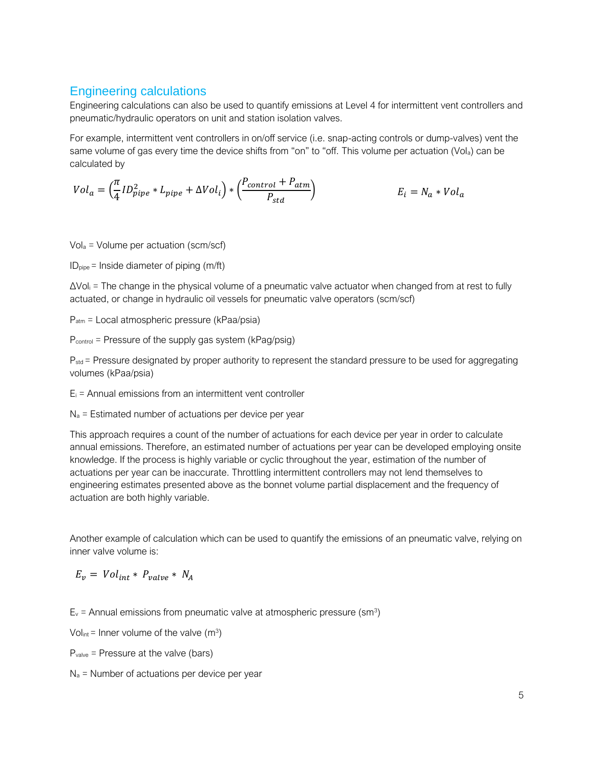### Engineering calculations

Engineering calculations can also be used to quantify emissions at Level 4 for intermittent vent controllers and pneumatic/hydraulic operators on unit and station isolation valves.

For example, intermittent vent controllers in on/off service (i.e. snap-acting controls or dump-valves) vent the same volume of gas every time the device shifts from "on" to "off. This volume per actuation (Vol<sub>a</sub>) can be calculated by

$$
Vol_a = \left(\frac{\pi}{4} I D_{pipe}^2 * L_{pipe} + \Delta Vol_i\right) * \left(\frac{P_{control} + P_{atm}}{P_{std}}\right)
$$
  
 $E_i = N_a * Vol_a$ 

Vol<sup>a</sup> = Volume per actuation (scm/scf)

 $ID_{pipe}$  = Inside diameter of piping (m/ft)

 $\Delta$ Vol<sub>i</sub> = The change in the physical volume of a pneumatic valve actuator when changed from at rest to fully actuated, or change in hydraulic oil vessels for pneumatic valve operators (scm/scf)

Patm = Local atmospheric pressure (kPaa/psia)

Pcontrol = Pressure of the supply gas system (kPag/psig)

P<sub>std</sub> = Pressure designated by proper authority to represent the standard pressure to be used for aggregating volumes (kPaa/psia)

 $E_i$  = Annual emissions from an intermittent vent controller

 $N_a$  = Estimated number of actuations per device per year

This approach requires a count of the number of actuations for each device per year in order to calculate annual emissions. Therefore, an estimated number of actuations per year can be developed employing onsite knowledge. If the process is highly variable or cyclic throughout the year, estimation of the number of actuations per year can be inaccurate. Throttling intermittent controllers may not lend themselves to engineering estimates presented above as the bonnet volume partial displacement and the frequency of actuation are both highly variable.

Another example of calculation which can be used to quantify the emissions of an pneumatic valve, relying on inner valve volume is:

 $E_v = Vol_{int} * P_{value} * N_A$ 

 $E_v$  = Annual emissions from pneumatic valve at atmospheric pressure (sm<sup>3</sup>)

Vol<sub>int</sub> = Inner volume of the valve (m<sup>3</sup>)

Pvalve = Pressure at the valve (bars)

 $N_a$  = Number of actuations per device per year